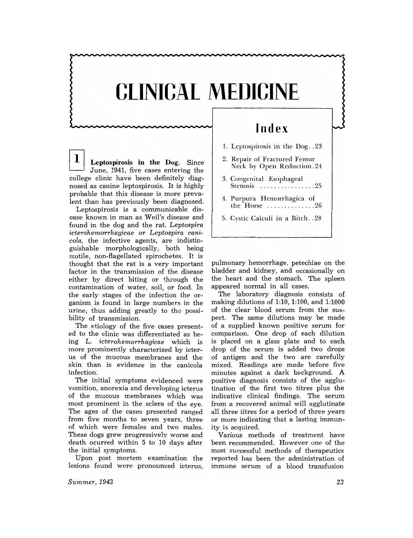## CLINICAL MEDICINE

*T* **Leptospirosis in the Dog.** Since June, 1941, five cases entering the college clinic have been definitely diagnosed as canine leptospirosis. It is highly probable that this disease is more prevalent than has previously been diagnosed.

Leptospirosis is a communicable disease known in man as Weil's disease and found in the dog and the rat. *Leptospira icterohemorrhagicae* or *Leptospira canicola*, the infective agents, are indistinguishable morphologically, both being motile, non-flagellated spirochetes. It is thought that the rat is a very important factor in the transmission of the disease either by direct biting or through the contamination of water, soil, or food. **In**  the early stages of the infection the organism is found in large numbers in the urine, thus adding greatly to the possibility of transmission.

The etiology of the five cases presented to the clinic was differentiated as being L. *icterohemorrhagicae* which is more prominently characterized by icterus of the mucous membranes and the skin than is evidence in the canicola infection.

The initial symptoms evidenced were vomition, anorexia and developing icterus of the mucous membranes which was most prominent in the sclera of the eye. The ages of the cases presented ranged from five months to seven years, three of which were females and two males. These dogs grew progressively worse and death ocurred within 5 to 10 days after the initial symptoms.

Upon post mortem examination the lesions found were pronounced icterus,

## **Index**

- 1. Leptospirosis in the Dog .. 23
- 2. Repair of Fractured Femur Neck by Open Reduction. 24
- 3. Congenital Esophageal Stenosis ...................25
- 4. Purpura Hemorrhagica of the Horse .............. 26
- 5. Cystic Calculi in a Bitch .. 28

pulmonary hemorrhage, petechiae on the bladder and kidney, and occasionally on the heart and the stomach. The spleen appeared normal in all cases.

The laboratory diagnosis consists of making dilutions of 1:10, 1:100, and 1:1000 of the clear blood serum from the suspect. The same dilutions may be made of a supplied known positive serum for comparison. One drop of each dilution is placed on a glass plate and to each drop of the serum is added two drops of antigen and the two are carefully mixed. Readings are made before five minutes against a dark background. A positive diagnosis consists of the agglutination of the first two titres plus the indicative clinical findings. The serum from a recovered animal will agglutinate all three titres for a period of three years or more indicating that a lasting immunity is acquired.

Various methods of treatment have been recommended. However one of the most successful methods of therapeutics reported has been the administration of immune serum of a blood transfusion